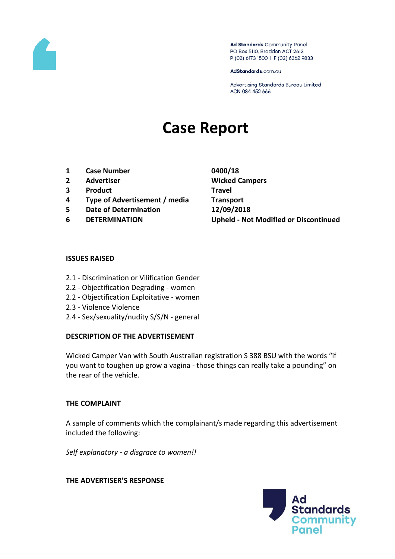

Ad Standards Community Panel PO Box 5110, Braddon ACT 2612 P (02) 6173 1500 | F (02) 6262 9833

AdStandards.com.au

Advertising Standards Bureau Limited ACN 084 452 666

# **Case Report**

- **1 Case Number 0400/18**
- 
- **3 Product Travel**
- **4 Type of Advertisement / media Transport**
- **5 Date of Determination 12/09/2018**
- 

**2 Advertiser Wicked Campers 6 DETERMINATION Upheld - Not Modified or Discontinued**

## **ISSUES RAISED**

- 2.1 Discrimination or Vilification Gender
- 2.2 Objectification Degrading women
- 2.2 Objectification Exploitative women
- 2.3 Violence Violence
- 2.4 Sex/sexuality/nudity S/S/N general

## **DESCRIPTION OF THE ADVERTISEMENT**

Wicked Camper Van with South Australian registration S 388 BSU with the words "if you want to toughen up grow a vagina - those things can really take a pounding" on the rear of the vehicle.

## **THE COMPLAINT**

A sample of comments which the complainant/s made regarding this advertisement included the following:

*Self explanatory - a disgrace to women!!*

## **THE ADVERTISER'S RESPONSE**

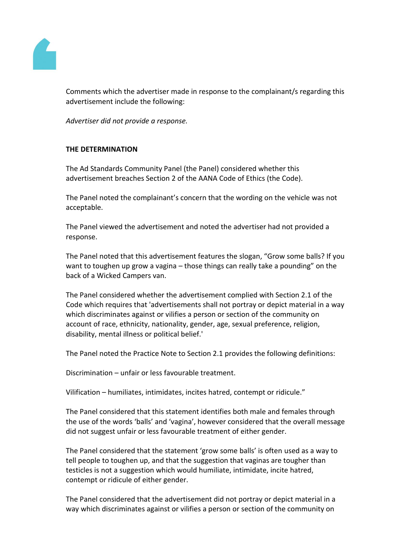

Comments which the advertiser made in response to the complainant/s regarding this advertisement include the following:

*Advertiser did not provide a response.*

# **THE DETERMINATION**

The Ad Standards Community Panel (the Panel) considered whether this advertisement breaches Section 2 of the AANA Code of Ethics (the Code).

The Panel noted the complainant's concern that the wording on the vehicle was not acceptable.

The Panel viewed the advertisement and noted the advertiser had not provided a response.

The Panel noted that this advertisement features the slogan, "Grow some balls? If you want to toughen up grow a vagina – those things can really take a pounding" on the back of a Wicked Campers van.

The Panel considered whether the advertisement complied with Section 2.1 of the Code which requires that 'advertisements shall not portray or depict material in a way which discriminates against or vilifies a person or section of the community on account of race, ethnicity, nationality, gender, age, sexual preference, religion, disability, mental illness or political belief.'

The Panel noted the Practice Note to Section 2.1 provides the following definitions:

Discrimination – unfair or less favourable treatment.

Vilification – humiliates, intimidates, incites hatred, contempt or ridicule."

The Panel considered that this statement identifies both male and females through the use of the words 'balls' and 'vagina', however considered that the overall message did not suggest unfair or less favourable treatment of either gender.

The Panel considered that the statement 'grow some balls' is often used as a way to tell people to toughen up, and that the suggestion that vaginas are tougher than testicles is not a suggestion which would humiliate, intimidate, incite hatred, contempt or ridicule of either gender.

The Panel considered that the advertisement did not portray or depict material in a way which discriminates against or vilifies a person or section of the community on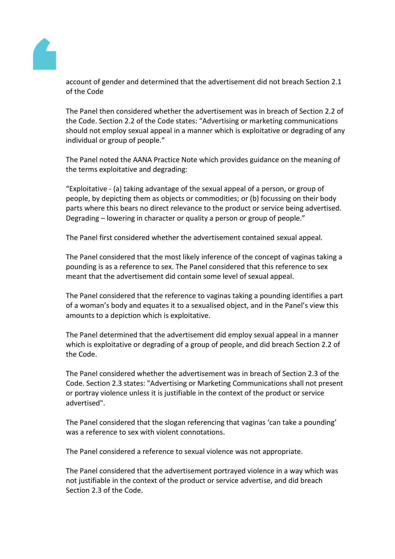

account of gender and determined that the advertisement did not breach Section 2.1 of the Code

The Panel then considered whether the advertisement was in breach of Section 2.2 of the Code. Section 2.2 of the Code states: "Advertising or marketing communications should not employ sexual appeal in a manner which is exploitative or degrading of any individual or group of people."

The Panel noted the AANA Practice Note which provides guidance on the meaning of the terms exploitative and degrading:

"Exploitative - (a) taking advantage of the sexual appeal of a person, or group of people, by depicting them as objects or commodities; or (b) focussing on their body parts where this bears no direct relevance to the product or service being advertised. Degrading – lowering in character or quality a person or group of people."

The Panel first considered whether the advertisement contained sexual appeal.

The Panel considered that the most likely inference of the concept of vaginas taking a pounding is as a reference to sex. The Panel considered that this reference to sex meant that the advertisement did contain some level of sexual appeal.

The Panel considered that the reference to vaginas taking a pounding identifies a part of a woman's body and equates it to a sexualised object, and in the Panel's view this amounts to a depiction which is exploitative.

The Panel determined that the advertisement did employ sexual appeal in a manner which is exploitative or degrading of a group of people, and did breach Section 2.2 of the Code.

The Panel considered whether the advertisement was in breach of Section 2.3 of the Code. Section 2.3 states: "Advertising or Marketing Communications shall not present or portray violence unless it is justifiable in the context of the product or service advertised".

The Panel considered that the slogan referencing that vaginas 'can take a pounding' was a reference to sex with violent connotations.

The Panel considered a reference to sexual violence was not appropriate.

The Panel considered that the advertisement portrayed violence in a way which was not justifiable in the context of the product or service advertise, and did breach Section 2.3 of the Code.